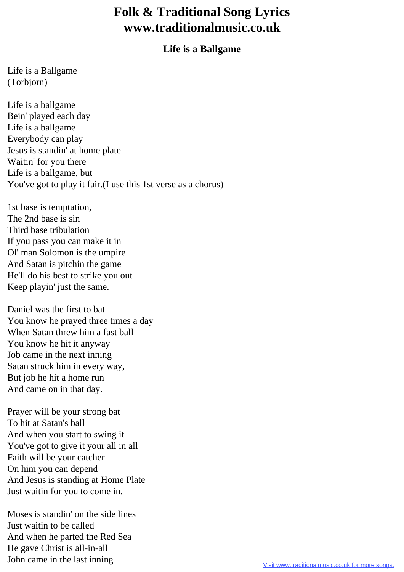## **Folk & Traditional Song Lyrics www.traditionalmusic.co.uk**

## **Life is a Ballgame**

Life is a Ballgame (Torbjorn)

Life is a ballgame Bein' played each day Life is a ballgame Everybody can play Jesus is standin' at home plate Waitin' for you there Life is a ballgame, but You've got to play it fair.(I use this 1st verse as a chorus)

1st base is temptation, The 2nd base is sin Third base tribulation If you pass you can make it in Ol' man Solomon is the umpire And Satan is pitchin the game He'll do his best to strike you out Keep playin' just the same.

Daniel was the first to bat You know he prayed three times a day When Satan threw him a fast ball You know he hit it anyway Job came in the next inning Satan struck him in every way, But job he hit a home run And came on in that day.

Prayer will be your strong bat To hit at Satan's ball And when you start to swing it You've got to give it your all in all Faith will be your catcher On him you can depend And Jesus is standing at Home Plate Just waitin for you to come in.

Moses is standin' on the side lines Just waitin to be called And when he parted the Red Sea He gave Christ is all-in-all John came in the last inning